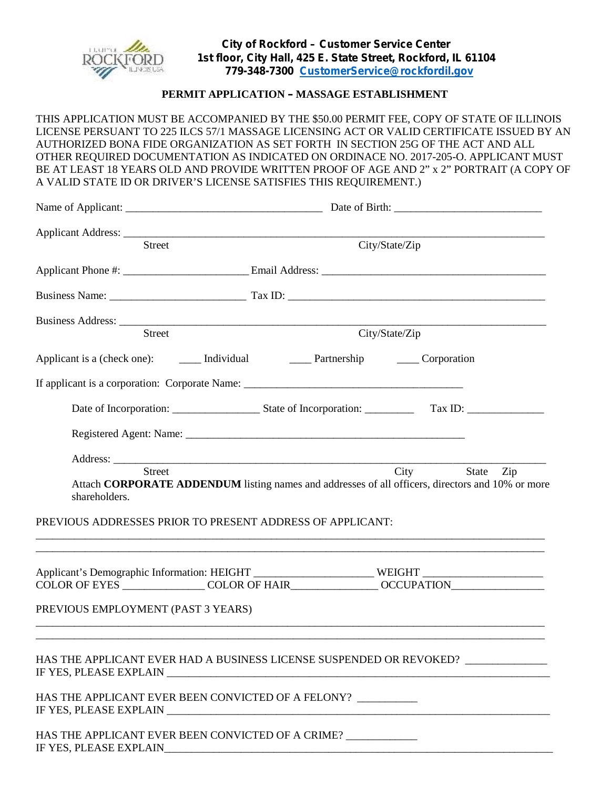

## **PERMIT APPLICATION – MASSAGE ESTABLISHMENT**

THIS APPLICATION MUST BE ACCOMPANIED BY THE \$50.00 PERMIT FEE, COPY OF STATE OF ILLINOIS LICENSE PERSUANT TO 225 ILCS 57/1 MASSAGE LICENSING ACT OR VALID CERTIFICATE ISSUED BY AN AUTHORIZED BONA FIDE ORGANIZATION AS SET FORTH IN SECTION 25G OF THE ACT AND ALL OTHER REQUIRED DOCUMENTATION AS INDICATED ON ORDINACE NO. 2017-205-O. APPLICANT MUST BE AT LEAST 18 YEARS OLD AND PROVIDE WRITTEN PROOF OF AGE AND 2" x 2" PORTRAIT (A COPY OF A VALID STATE ID OR DRIVER'S LICENSE SATISFIES THIS REQUIREMENT.)

| <b>Street</b>                      | City/State/Zip                                                                                                           |  |  |
|------------------------------------|--------------------------------------------------------------------------------------------------------------------------|--|--|
|                                    |                                                                                                                          |  |  |
|                                    |                                                                                                                          |  |  |
|                                    |                                                                                                                          |  |  |
| Street                             | City/State/Zip                                                                                                           |  |  |
|                                    |                                                                                                                          |  |  |
|                                    |                                                                                                                          |  |  |
|                                    |                                                                                                                          |  |  |
|                                    |                                                                                                                          |  |  |
|                                    |                                                                                                                          |  |  |
| <b>Street</b><br>shareholders.     | City<br>State<br>Zip<br>Attach CORPORATE ADDENDUM listing names and addresses of all officers, directors and 10% or more |  |  |
|                                    | PREVIOUS ADDRESSES PRIOR TO PRESENT ADDRESS OF APPLICANT:                                                                |  |  |
|                                    | Applicant's Demographic Information: HEIGHT ________________________WEIGHT _________________________                     |  |  |
|                                    | COLOR OF EYES _________________COLOR OF HAIR_________________OCCUPATION_____________________________                     |  |  |
| PREVIOUS EMPLOYMENT (PAST 3 YEARS) |                                                                                                                          |  |  |
|                                    | HAS THE APPLICANT EVER HAD A BUSINESS LICENSE SUSPENDED OR REVOKED?                                                      |  |  |
|                                    |                                                                                                                          |  |  |
|                                    | HAS THE APPLICANT EVER BEEN CONVICTED OF A FELONY? _________                                                             |  |  |
| IF YES, PLEASE EXPLAIN             | HAS THE APPLICANT EVER BEEN CONVICTED OF A CRIME?                                                                        |  |  |